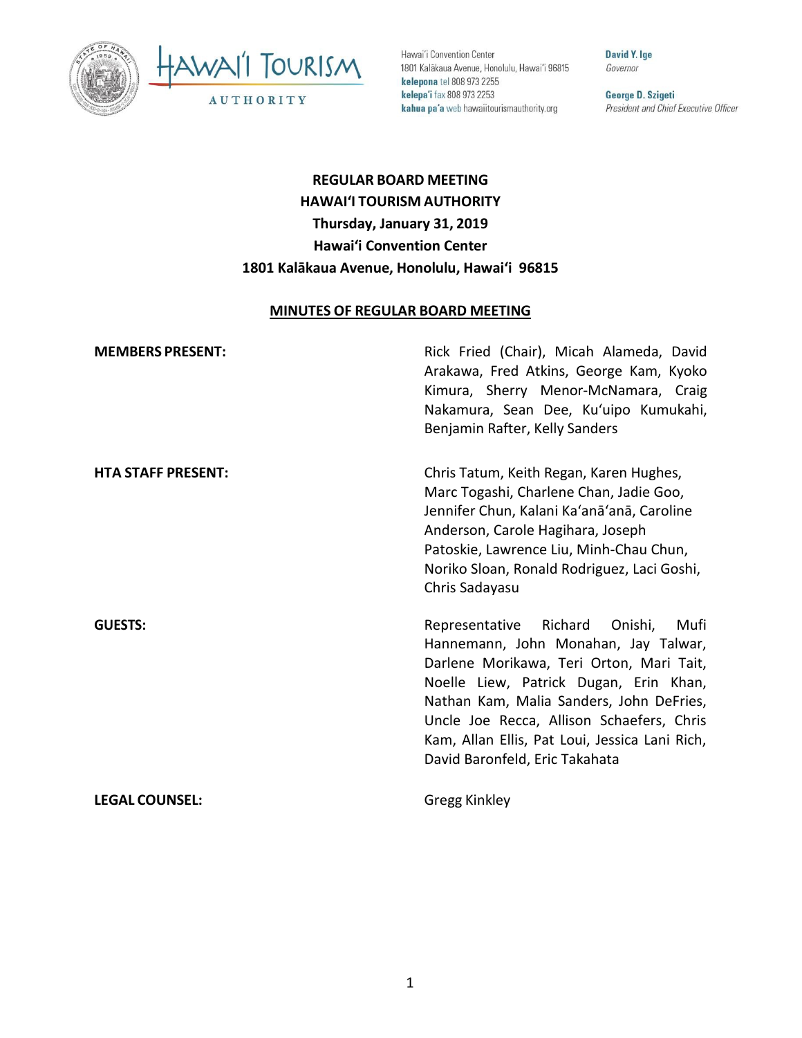



Hawai'i Convention Center 1801 Kalākaua Avenue, Honolulu, Hawai'i 96815 kelepona tel 808 973 2255 kelepa'i fax 808 973 2253 kahua pa'a web hawaiitourismauthority.org

**David Y. Ige** Governor

George D. Szigeti President and Chief Executive Officer

# **REGULAR BOARD MEETING HAWAI'I TOURISM AUTHORITY Thursday, January 31, 2019 Hawai'i Convention Center 1801 Kalākaua Avenue, Honolulu, Hawai'i 96815**

#### **MINUTES OF REGULAR BOARD MEETING**

| <b>MEMBERS PRESENT:</b>   | Rick Fried (Chair), Micah Alameda, David<br>Arakawa, Fred Atkins, George Kam, Kyoko<br>Kimura, Sherry Menor-McNamara, Craig<br>Nakamura, Sean Dee, Ku'uipo Kumukahi,<br>Benjamin Rafter, Kelly Sanders                                                                                                                                               |
|---------------------------|------------------------------------------------------------------------------------------------------------------------------------------------------------------------------------------------------------------------------------------------------------------------------------------------------------------------------------------------------|
| <b>HTA STAFF PRESENT:</b> | Chris Tatum, Keith Regan, Karen Hughes,<br>Marc Togashi, Charlene Chan, Jadie Goo,<br>Jennifer Chun, Kalani Ka'anā'anā, Caroline<br>Anderson, Carole Hagihara, Joseph<br>Patoskie, Lawrence Liu, Minh-Chau Chun,<br>Noriko Sloan, Ronald Rodriguez, Laci Goshi,<br>Chris Sadayasu                                                                    |
| <b>GUESTS:</b>            | Richard Onishi,<br>Mufi<br>Representative<br>Hannemann, John Monahan, Jay Talwar,<br>Darlene Morikawa, Teri Orton, Mari Tait,<br>Noelle Liew, Patrick Dugan, Erin Khan,<br>Nathan Kam, Malia Sanders, John DeFries,<br>Uncle Joe Recca, Allison Schaefers, Chris<br>Kam, Allan Ellis, Pat Loui, Jessica Lani Rich,<br>David Baronfeld, Eric Takahata |
| <b>LEGAL COUNSEL:</b>     | Gregg Kinkley                                                                                                                                                                                                                                                                                                                                        |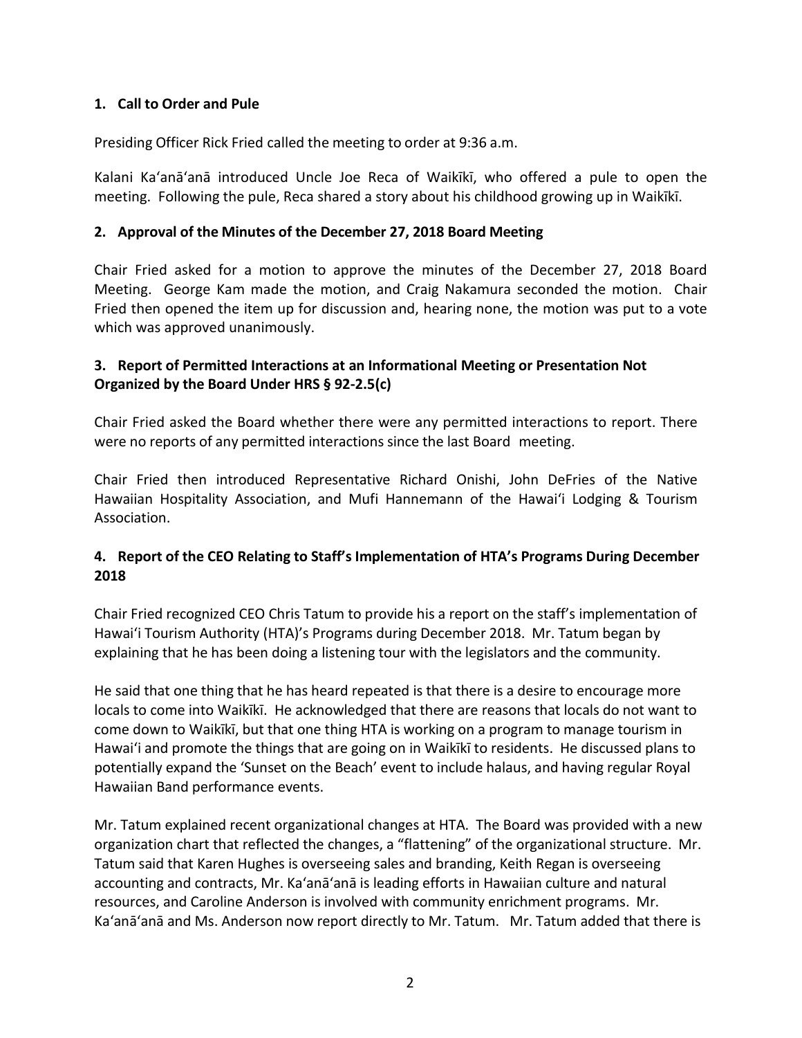## **1. Call to Order and Pule**

Presiding Officer Rick Fried called the meeting to order at 9:36 a.m.

Kalani Ka'anā'anā introduced Uncle Joe Reca of Waikīkī, who offered a pule to open the meeting. Following the pule, Reca shared a story about his childhood growing up in Waikīkī.

### **2. Approval of the Minutes of the December 27, 2018 Board Meeting**

Chair Fried asked for a motion to approve the minutes of the December 27, 2018 Board Meeting. George Kam made the motion, and Craig Nakamura seconded the motion. Chair Fried then opened the item up for discussion and, hearing none, the motion was put to a vote which was approved unanimously.

## **3. Report of Permitted Interactions at an Informational Meeting or Presentation Not Organized by the Board Under HRS § 92-2.5(c)**

Chair Fried asked the Board whether there were any permitted interactions to report. There were no reports of any permitted interactions since the last Board meeting.

Chair Fried then introduced Representative Richard Onishi, John DeFries of the Native Hawaiian Hospitality Association, and Mufi Hannemann of the Hawai'i Lodging & Tourism Association.

## **4. Report of the CEO Relating to Staff's Implementation of HTA's Programs During December 2018**

Chair Fried recognized CEO Chris Tatum to provide his a report on the staff's implementation of Hawai'i Tourism Authority (HTA)'s Programs during December 2018. Mr. Tatum began by explaining that he has been doing a listening tour with the legislators and the community.

He said that one thing that he has heard repeated is that there is a desire to encourage more locals to come into Waikīkī. He acknowledged that there are reasons that locals do not want to come down to Waikīkī, but that one thing HTA is working on a program to manage tourism in Hawai'i and promote the things that are going on in Waikīkī to residents. He discussed plans to potentially expand the 'Sunset on the Beach' event to include halaus, and having regular Royal Hawaiian Band performance events.

Mr. Tatum explained recent organizational changes at HTA. The Board was provided with a new organization chart that reflected the changes, a "flattening" of the organizational structure. Mr. Tatum said that Karen Hughes is overseeing sales and branding, Keith Regan is overseeing accounting and contracts, Mr. Ka'anā'anā is leading efforts in Hawaiian culture and natural resources, and Caroline Anderson is involved with community enrichment programs. Mr. Ka'anā'anā and Ms. Anderson now report directly to Mr. Tatum. Mr. Tatum added that there is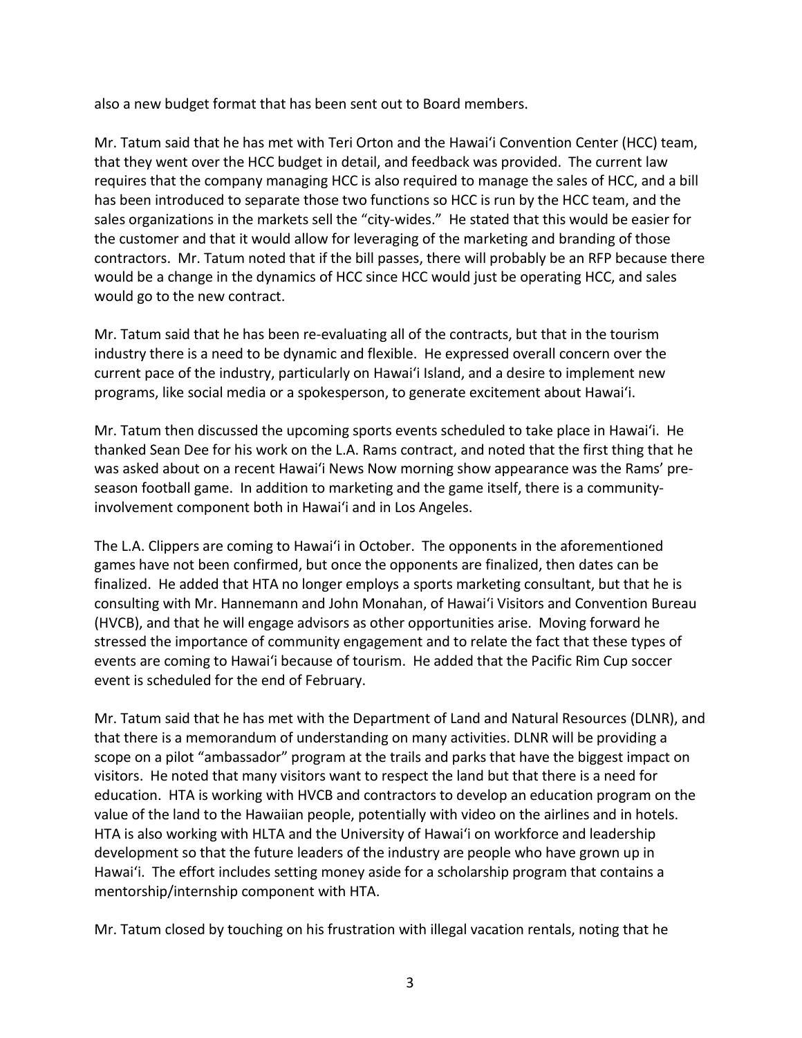also a new budget format that has been sent out to Board members.

Mr. Tatum said that he has met with Teri Orton and the Hawai'i Convention Center (HCC) team, that they went over the HCC budget in detail, and feedback was provided. The current law requires that the company managing HCC is also required to manage the sales of HCC, and a bill has been introduced to separate those two functions so HCC is run by the HCC team, and the sales organizations in the markets sell the "city-wides." He stated that this would be easier for the customer and that it would allow for leveraging of the marketing and branding of those contractors. Mr. Tatum noted that if the bill passes, there will probably be an RFP because there would be a change in the dynamics of HCC since HCC would just be operating HCC, and sales would go to the new contract.

Mr. Tatum said that he has been re-evaluating all of the contracts, but that in the tourism industry there is a need to be dynamic and flexible. He expressed overall concern over the current pace of the industry, particularly on Hawai'i Island, and a desire to implement new programs, like social media or a spokesperson, to generate excitement about Hawai'i.

Mr. Tatum then discussed the upcoming sports events scheduled to take place in Hawai'i. He thanked Sean Dee for his work on the L.A. Rams contract, and noted that the first thing that he was asked about on a recent Hawai'i News Now morning show appearance was the Rams' preseason football game. In addition to marketing and the game itself, there is a communityinvolvement component both in Hawai'i and in Los Angeles.

The L.A. Clippers are coming to Hawai'i in October. The opponents in the aforementioned games have not been confirmed, but once the opponents are finalized, then dates can be finalized. He added that HTA no longer employs a sports marketing consultant, but that he is consulting with Mr. Hannemann and John Monahan, of Hawai'i Visitors and Convention Bureau (HVCB), and that he will engage advisors as other opportunities arise. Moving forward he stressed the importance of community engagement and to relate the fact that these types of events are coming to Hawai'i because of tourism. He added that the Pacific Rim Cup soccer event is scheduled for the end of February.

Mr. Tatum said that he has met with the Department of Land and Natural Resources (DLNR), and that there is a memorandum of understanding on many activities. DLNR will be providing a scope on a pilot "ambassador" program at the trails and parks that have the biggest impact on visitors. He noted that many visitors want to respect the land but that there is a need for education. HTA is working with HVCB and contractors to develop an education program on the value of the land to the Hawaiian people, potentially with video on the airlines and in hotels. HTA is also working with HLTA and the University of Hawai'i on workforce and leadership development so that the future leaders of the industry are people who have grown up in Hawai'i. The effort includes setting money aside for a scholarship program that contains a mentorship/internship component with HTA.

Mr. Tatum closed by touching on his frustration with illegal vacation rentals, noting that he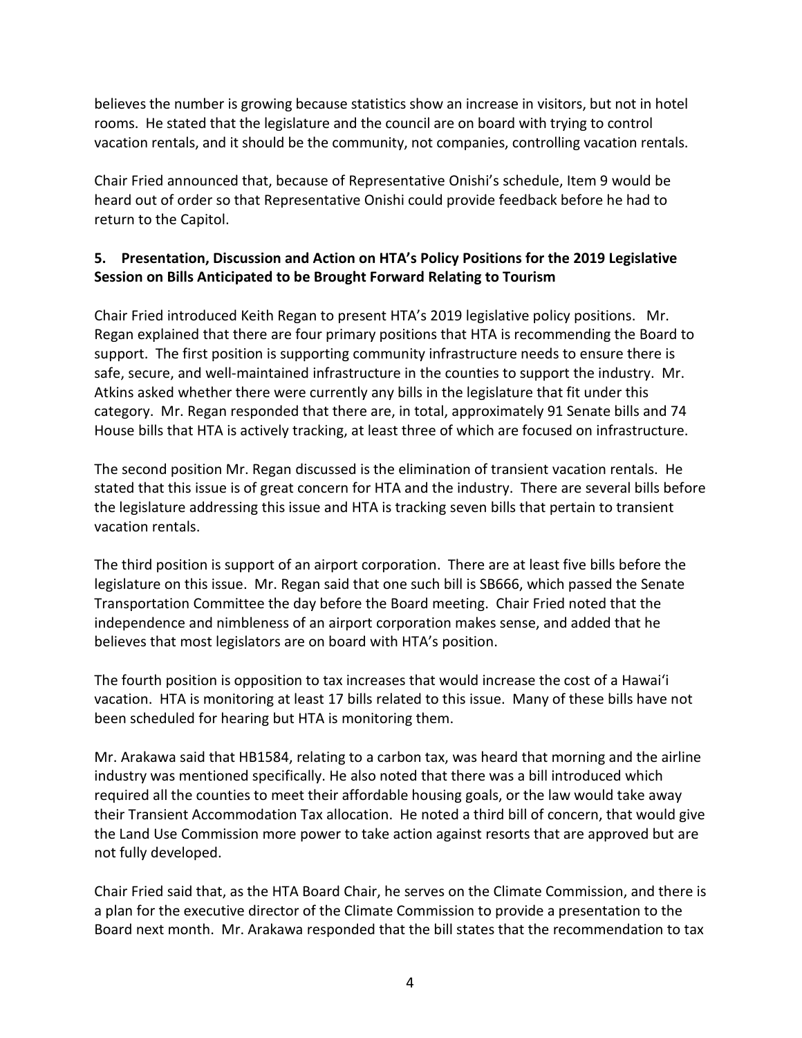believes the number is growing because statistics show an increase in visitors, but not in hotel rooms. He stated that the legislature and the council are on board with trying to control vacation rentals, and it should be the community, not companies, controlling vacation rentals.

Chair Fried announced that, because of Representative Onishi's schedule, Item 9 would be heard out of order so that Representative Onishi could provide feedback before he had to return to the Capitol.

## **5. Presentation, Discussion and Action on HTA's Policy Positions for the 2019 Legislative Session on Bills Anticipated to be Brought Forward Relating to Tourism**

Chair Fried introduced Keith Regan to present HTA's 2019 legislative policy positions. Mr. Regan explained that there are four primary positions that HTA is recommending the Board to support. The first position is supporting community infrastructure needs to ensure there is safe, secure, and well-maintained infrastructure in the counties to support the industry. Mr. Atkins asked whether there were currently any bills in the legislature that fit under this category. Mr. Regan responded that there are, in total, approximately 91 Senate bills and 74 House bills that HTA is actively tracking, at least three of which are focused on infrastructure.

The second position Mr. Regan discussed is the elimination of transient vacation rentals. He stated that this issue is of great concern for HTA and the industry. There are several bills before the legislature addressing this issue and HTA is tracking seven bills that pertain to transient vacation rentals.

The third position is support of an airport corporation. There are at least five bills before the legislature on this issue. Mr. Regan said that one such bill is SB666, which passed the Senate Transportation Committee the day before the Board meeting. Chair Fried noted that the independence and nimbleness of an airport corporation makes sense, and added that he believes that most legislators are on board with HTA's position.

The fourth position is opposition to tax increases that would increase the cost of a Hawai'i vacation. HTA is monitoring at least 17 bills related to this issue. Many of these bills have not been scheduled for hearing but HTA is monitoring them.

Mr. Arakawa said that HB1584, relating to a carbon tax, was heard that morning and the airline industry was mentioned specifically. He also noted that there was a bill introduced which required all the counties to meet their affordable housing goals, or the law would take away their Transient Accommodation Tax allocation. He noted a third bill of concern, that would give the Land Use Commission more power to take action against resorts that are approved but are not fully developed.

Chair Fried said that, as the HTA Board Chair, he serves on the Climate Commission, and there is a plan for the executive director of the Climate Commission to provide a presentation to the Board next month. Mr. Arakawa responded that the bill states that the recommendation to tax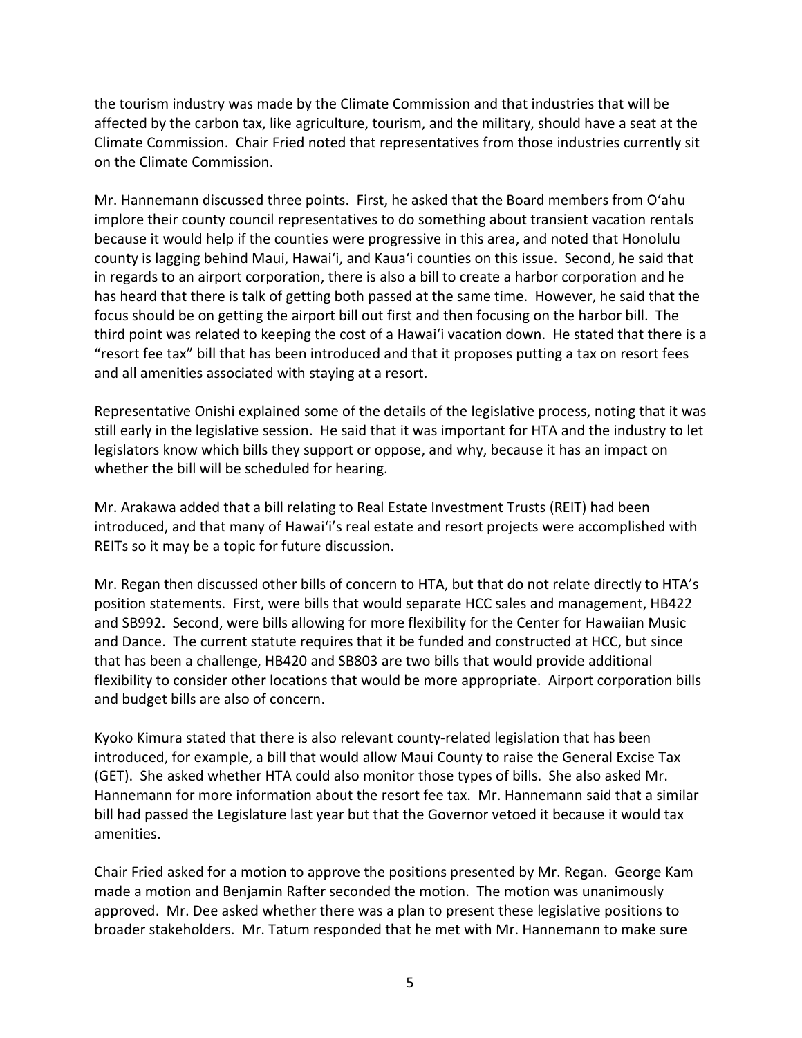the tourism industry was made by the Climate Commission and that industries that will be affected by the carbon tax, like agriculture, tourism, and the military, should have a seat at the Climate Commission. Chair Fried noted that representatives from those industries currently sit on the Climate Commission.

Mr. Hannemann discussed three points. First, he asked that the Board members from O'ahu implore their county council representatives to do something about transient vacation rentals because it would help if the counties were progressive in this area, and noted that Honolulu county is lagging behind Maui, Hawai'i, and Kaua'i counties on this issue. Second, he said that in regards to an airport corporation, there is also a bill to create a harbor corporation and he has heard that there is talk of getting both passed at the same time. However, he said that the focus should be on getting the airport bill out first and then focusing on the harbor bill. The third point was related to keeping the cost of a Hawai'i vacation down. He stated that there is a "resort fee tax" bill that has been introduced and that it proposes putting a tax on resort fees and all amenities associated with staying at a resort.

Representative Onishi explained some of the details of the legislative process, noting that it was still early in the legislative session. He said that it was important for HTA and the industry to let legislators know which bills they support or oppose, and why, because it has an impact on whether the bill will be scheduled for hearing.

Mr. Arakawa added that a bill relating to Real Estate Investment Trusts (REIT) had been introduced, and that many of Hawai'i's real estate and resort projects were accomplished with REITs so it may be a topic for future discussion.

Mr. Regan then discussed other bills of concern to HTA, but that do not relate directly to HTA's position statements. First, were bills that would separate HCC sales and management, HB422 and SB992. Second, were bills allowing for more flexibility for the Center for Hawaiian Music and Dance. The current statute requires that it be funded and constructed at HCC, but since that has been a challenge, HB420 and SB803 are two bills that would provide additional flexibility to consider other locations that would be more appropriate. Airport corporation bills and budget bills are also of concern.

Kyoko Kimura stated that there is also relevant county-related legislation that has been introduced, for example, a bill that would allow Maui County to raise the General Excise Tax (GET). She asked whether HTA could also monitor those types of bills. She also asked Mr. Hannemann for more information about the resort fee tax. Mr. Hannemann said that a similar bill had passed the Legislature last year but that the Governor vetoed it because it would tax amenities.

Chair Fried asked for a motion to approve the positions presented by Mr. Regan. George Kam made a motion and Benjamin Rafter seconded the motion. The motion was unanimously approved. Mr. Dee asked whether there was a plan to present these legislative positions to broader stakeholders. Mr. Tatum responded that he met with Mr. Hannemann to make sure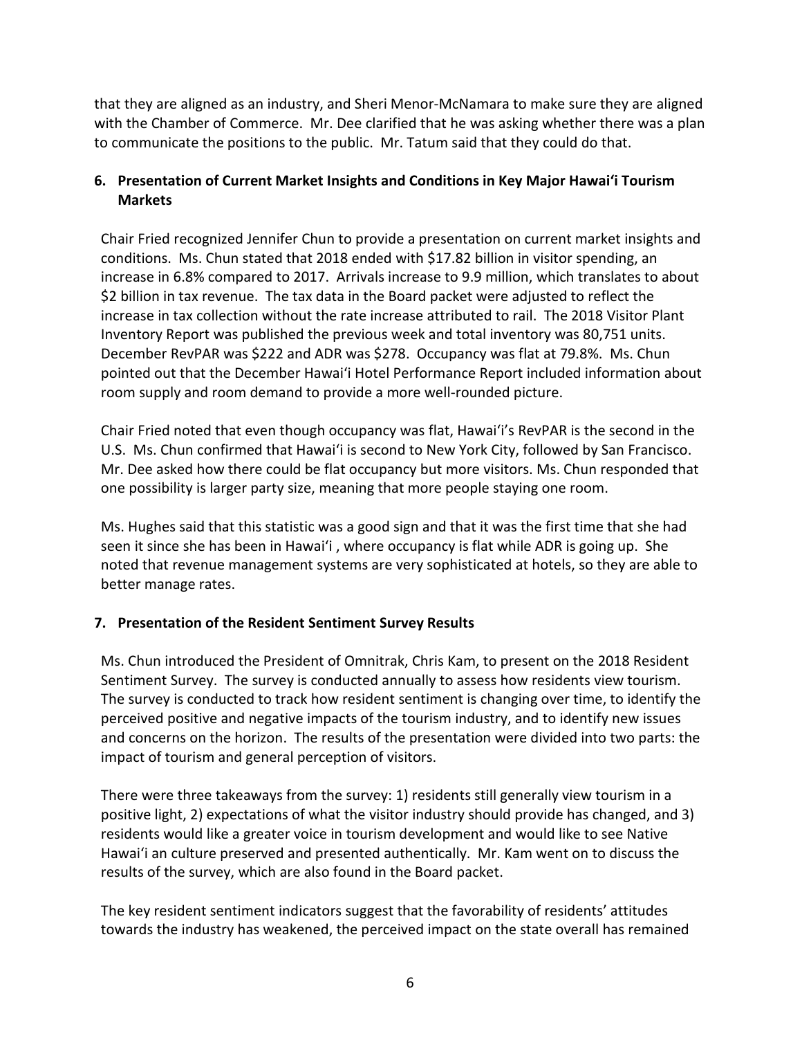that they are aligned as an industry, and Sheri Menor-McNamara to make sure they are aligned with the Chamber of Commerce. Mr. Dee clarified that he was asking whether there was a plan to communicate the positions to the public. Mr. Tatum said that they could do that.

## **6. Presentation of Current Market Insights and Conditions in Key Major Hawai'i Tourism Markets**

Chair Fried recognized Jennifer Chun to provide a presentation on current market insights and conditions. Ms. Chun stated that 2018 ended with \$17.82 billion in visitor spending, an increase in 6.8% compared to 2017. Arrivals increase to 9.9 million, which translates to about \$2 billion in tax revenue. The tax data in the Board packet were adjusted to reflect the increase in tax collection without the rate increase attributed to rail. The 2018 Visitor Plant Inventory Report was published the previous week and total inventory was 80,751 units. December RevPAR was \$222 and ADR was \$278. Occupancy was flat at 79.8%. Ms. Chun pointed out that the December Hawai'i Hotel Performance Report included information about room supply and room demand to provide a more well-rounded picture.

Chair Fried noted that even though occupancy was flat, Hawai'i's RevPAR is the second in the U.S. Ms. Chun confirmed that Hawai'i is second to New York City, followed by San Francisco. Mr. Dee asked how there could be flat occupancy but more visitors. Ms. Chun responded that one possibility is larger party size, meaning that more people staying one room.

Ms. Hughes said that this statistic was a good sign and that it was the first time that she had seen it since she has been in Hawai'i , where occupancy is flat while ADR is going up. She noted that revenue management systems are very sophisticated at hotels, so they are able to better manage rates.

## **7. Presentation of the Resident Sentiment Survey Results**

Ms. Chun introduced the President of Omnitrak, Chris Kam, to present on the 2018 Resident Sentiment Survey. The survey is conducted annually to assess how residents view tourism. The survey is conducted to track how resident sentiment is changing over time, to identify the perceived positive and negative impacts of the tourism industry, and to identify new issues and concerns on the horizon. The results of the presentation were divided into two parts: the impact of tourism and general perception of visitors.

There were three takeaways from the survey: 1) residents still generally view tourism in a positive light, 2) expectations of what the visitor industry should provide has changed, and 3) residents would like a greater voice in tourism development and would like to see Native Hawai'i an culture preserved and presented authentically. Mr. Kam went on to discuss the results of the survey, which are also found in the Board packet.

The key resident sentiment indicators suggest that the favorability of residents' attitudes towards the industry has weakened, the perceived impact on the state overall has remained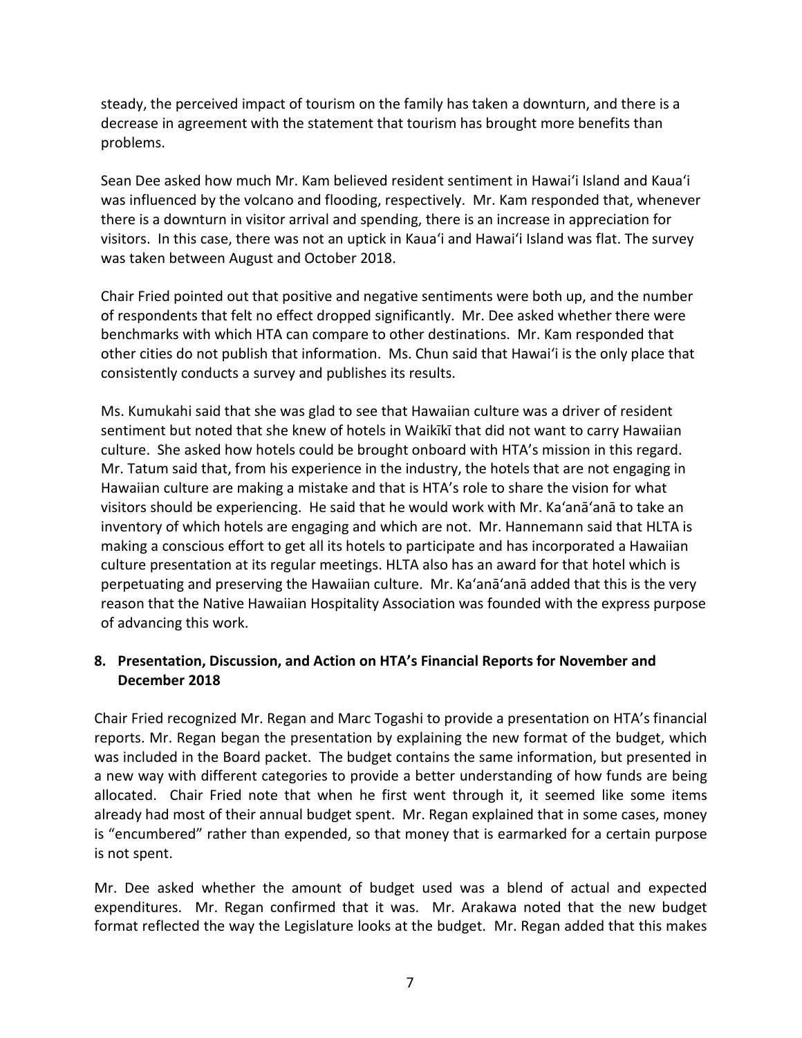steady, the perceived impact of tourism on the family has taken a downturn, and there is a decrease in agreement with the statement that tourism has brought more benefits than problems.

Sean Dee asked how much Mr. Kam believed resident sentiment in Hawai'i Island and Kaua'i was influenced by the volcano and flooding, respectively. Mr. Kam responded that, whenever there is a downturn in visitor arrival and spending, there is an increase in appreciation for visitors. In this case, there was not an uptick in Kaua'i and Hawai'i Island was flat. The survey was taken between August and October 2018.

Chair Fried pointed out that positive and negative sentiments were both up, and the number of respondents that felt no effect dropped significantly. Mr. Dee asked whether there were benchmarks with which HTA can compare to other destinations. Mr. Kam responded that other cities do not publish that information. Ms. Chun said that Hawai'i is the only place that consistently conducts a survey and publishes its results.

Ms. Kumukahi said that she was glad to see that Hawaiian culture was a driver of resident sentiment but noted that she knew of hotels in Waikīkī that did not want to carry Hawaiian culture. She asked how hotels could be brought onboard with HTA's mission in this regard. Mr. Tatum said that, from his experience in the industry, the hotels that are not engaging in Hawaiian culture are making a mistake and that is HTA's role to share the vision for what visitors should be experiencing. He said that he would work with Mr. Ka'anā'anā to take an inventory of which hotels are engaging and which are not. Mr. Hannemann said that HLTA is making a conscious effort to get all its hotels to participate and has incorporated a Hawaiian culture presentation at its regular meetings. HLTA also has an award for that hotel which is perpetuating and preserving the Hawaiian culture. Mr. Ka'anā'anā added that this is the very reason that the Native Hawaiian Hospitality Association was founded with the express purpose of advancing this work.

## **8. Presentation, Discussion, and Action on HTA's Financial Reports for November and December 2018**

Chair Fried recognized Mr. Regan and Marc Togashi to provide a presentation on HTA's financial reports. Mr. Regan began the presentation by explaining the new format of the budget, which was included in the Board packet. The budget contains the same information, but presented in a new way with different categories to provide a better understanding of how funds are being allocated. Chair Fried note that when he first went through it, it seemed like some items already had most of their annual budget spent. Mr. Regan explained that in some cases, money is "encumbered" rather than expended, so that money that is earmarked for a certain purpose is not spent.

Mr. Dee asked whether the amount of budget used was a blend of actual and expected expenditures. Mr. Regan confirmed that it was. Mr. Arakawa noted that the new budget format reflected the way the Legislature looks at the budget. Mr. Regan added that this makes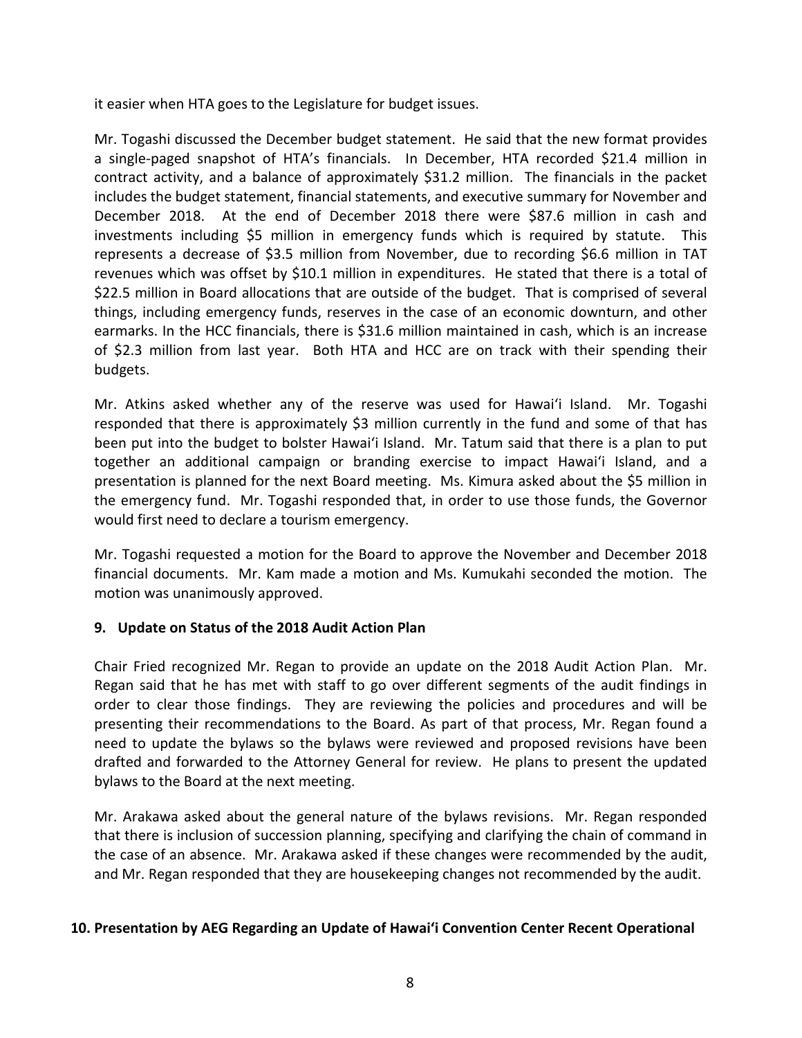it easier when HTA goes to the Legislature for budget issues.

Mr. Togashi discussed the December budget statement. He said that the new format provides a single-paged snapshot of HTA's financials. In December, HTA recorded \$21.4 million in contract activity, and a balance of approximately \$31.2 million. The financials in the packet includes the budget statement, financial statements, and executive summary for November and December 2018. At the end of December 2018 there were \$87.6 million in cash and investments including \$5 million in emergency funds which is required by statute. This represents a decrease of \$3.5 million from November, due to recording \$6.6 million in TAT revenues which was offset by \$10.1 million in expenditures. He stated that there is a total of \$22.5 million in Board allocations that are outside of the budget. That is comprised of several things, including emergency funds, reserves in the case of an economic downturn, and other earmarks. In the HCC financials, there is \$31.6 million maintained in cash, which is an increase of \$2.3 million from last year. Both HTA and HCC are on track with their spending their budgets.

Mr. Atkins asked whether any of the reserve was used for Hawai'i Island. Mr. Togashi responded that there is approximately \$3 million currently in the fund and some of that has been put into the budget to bolster Hawai'i Island. Mr. Tatum said that there is a plan to put together an additional campaign or branding exercise to impact Hawai'i Island, and a presentation is planned for the next Board meeting. Ms. Kimura asked about the \$5 million in the emergency fund. Mr. Togashi responded that, in order to use those funds, the Governor would first need to declare a tourism emergency.

Mr. Togashi requested a motion for the Board to approve the November and December 2018 financial documents. Mr. Kam made a motion and Ms. Kumukahi seconded the motion. The motion was unanimously approved.

## **9. Update on Status of the 2018 Audit Action Plan**

Chair Fried recognized Mr. Regan to provide an update on the 2018 Audit Action Plan. Mr. Regan said that he has met with staff to go over different segments of the audit findings in order to clear those findings. They are reviewing the policies and procedures and will be presenting their recommendations to the Board. As part of that process, Mr. Regan found a need to update the bylaws so the bylaws were reviewed and proposed revisions have been drafted and forwarded to the Attorney General for review. He plans to present the updated bylaws to the Board at the next meeting.

Mr. Arakawa asked about the general nature of the bylaws revisions. Mr. Regan responded that there is inclusion of succession planning, specifying and clarifying the chain of command in the case of an absence. Mr. Arakawa asked if these changes were recommended by the audit, and Mr. Regan responded that they are housekeeping changes not recommended by the audit.

#### **10. Presentation by AEG Regarding an Update of Hawai'i Convention Center Recent Operational**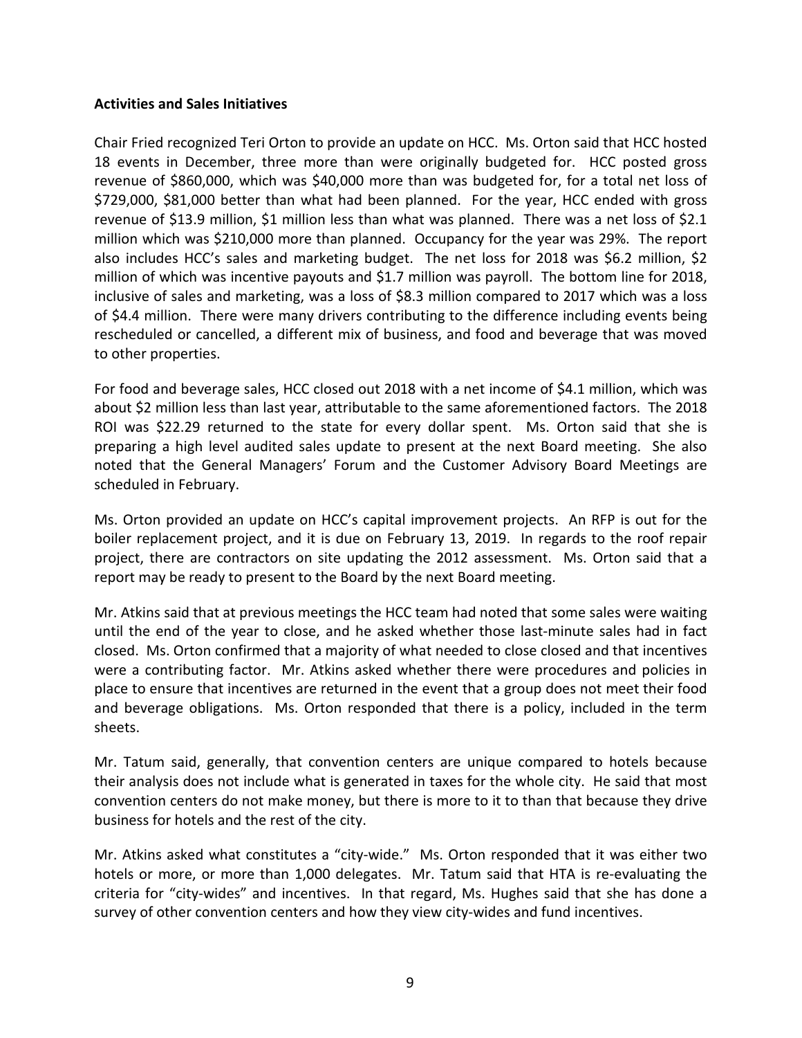#### **Activities and Sales Initiatives**

Chair Fried recognized Teri Orton to provide an update on HCC. Ms. Orton said that HCC hosted 18 events in December, three more than were originally budgeted for. HCC posted gross revenue of \$860,000, which was \$40,000 more than was budgeted for, for a total net loss of \$729,000, \$81,000 better than what had been planned. For the year, HCC ended with gross revenue of \$13.9 million, \$1 million less than what was planned. There was a net loss of \$2.1 million which was \$210,000 more than planned. Occupancy for the year was 29%. The report also includes HCC's sales and marketing budget. The net loss for 2018 was \$6.2 million, \$2 million of which was incentive payouts and \$1.7 million was payroll. The bottom line for 2018, inclusive of sales and marketing, was a loss of \$8.3 million compared to 2017 which was a loss of \$4.4 million. There were many drivers contributing to the difference including events being rescheduled or cancelled, a different mix of business, and food and beverage that was moved to other properties.

For food and beverage sales, HCC closed out 2018 with a net income of \$4.1 million, which was about \$2 million less than last year, attributable to the same aforementioned factors. The 2018 ROI was \$22.29 returned to the state for every dollar spent. Ms. Orton said that she is preparing a high level audited sales update to present at the next Board meeting. She also noted that the General Managers' Forum and the Customer Advisory Board Meetings are scheduled in February.

Ms. Orton provided an update on HCC's capital improvement projects. An RFP is out for the boiler replacement project, and it is due on February 13, 2019. In regards to the roof repair project, there are contractors on site updating the 2012 assessment. Ms. Orton said that a report may be ready to present to the Board by the next Board meeting.

Mr. Atkins said that at previous meetings the HCC team had noted that some sales were waiting until the end of the year to close, and he asked whether those last-minute sales had in fact closed. Ms. Orton confirmed that a majority of what needed to close closed and that incentives were a contributing factor. Mr. Atkins asked whether there were procedures and policies in place to ensure that incentives are returned in the event that a group does not meet their food and beverage obligations. Ms. Orton responded that there is a policy, included in the term sheets.

Mr. Tatum said, generally, that convention centers are unique compared to hotels because their analysis does not include what is generated in taxes for the whole city. He said that most convention centers do not make money, but there is more to it to than that because they drive business for hotels and the rest of the city.

Mr. Atkins asked what constitutes a "city-wide." Ms. Orton responded that it was either two hotels or more, or more than 1,000 delegates. Mr. Tatum said that HTA is re-evaluating the criteria for "city-wides" and incentives. In that regard, Ms. Hughes said that she has done a survey of other convention centers and how they view city-wides and fund incentives.